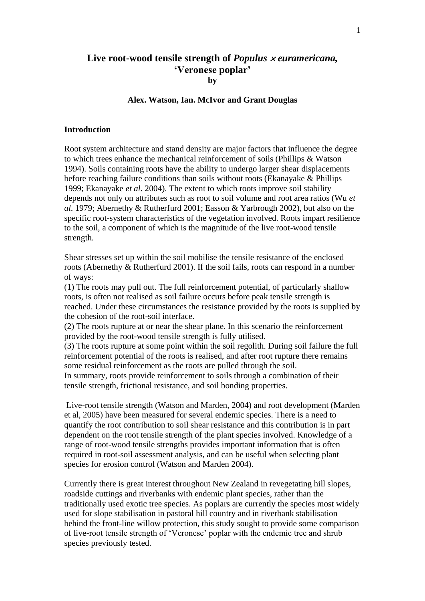# **Live root-wood tensile strength of** *Populus euramericana,* **'Veronese poplar' by**

#### **Alex. Watson, Ian. McIvor and Grant Douglas**

## **Introduction**

Root system architecture and stand density are major factors that influence the degree to which trees enhance the mechanical reinforcement of soils (Phillips & Watson 1994). Soils containing roots have the ability to undergo larger shear displacements before reaching failure conditions than soils without roots (Ekanayake & Phillips 1999; Ekanayake *et al*. 2004). The extent to which roots improve soil stability depends not only on attributes such as root to soil volume and root area ratios (Wu *et al*. 1979; Abernethy & Rutherfurd 2001; Easson & Yarbrough 2002), but also on the specific root-system characteristics of the vegetation involved. Roots impart resilience to the soil, a component of which is the magnitude of the live root-wood tensile strength.

Shear stresses set up within the soil mobilise the tensile resistance of the enclosed roots (Abernethy & Rutherfurd 2001). If the soil fails, roots can respond in a number of ways:

(1) The roots may pull out. The full reinforcement potential, of particularly shallow roots, is often not realised as soil failure occurs before peak tensile strength is reached. Under these circumstances the resistance provided by the roots is supplied by the cohesion of the root-soil interface.

(2) The roots rupture at or near the shear plane. In this scenario the reinforcement provided by the root-wood tensile strength is fully utilised.

(3) The roots rupture at some point within the soil regolith. During soil failure the full reinforcement potential of the roots is realised, and after root rupture there remains some residual reinforcement as the roots are pulled through the soil. In summary, roots provide reinforcement to soils through a combination of their tensile strength, frictional resistance, and soil bonding properties.

Live-root tensile strength (Watson and Marden, 2004) and root development (Marden et al, 2005) have been measured for several endemic species. There is a need to quantify the root contribution to soil shear resistance and this contribution is in part dependent on the root tensile strength of the plant species involved. Knowledge of a range of root-wood tensile strengths provides important information that is often required in root-soil assessment analysis, and can be useful when selecting plant species for erosion control (Watson and Marden 2004).

Currently there is great interest throughout New Zealand in revegetating hill slopes, roadside cuttings and riverbanks with endemic plant species, rather than the traditionally used exotic tree species. As poplars are currently the species most widely used for slope stabilisation in pastoral hill country and in riverbank stabilisation behind the front-line willow protection, this study sought to provide some comparison of live-root tensile strength of "Veronese" poplar with the endemic tree and shrub species previously tested.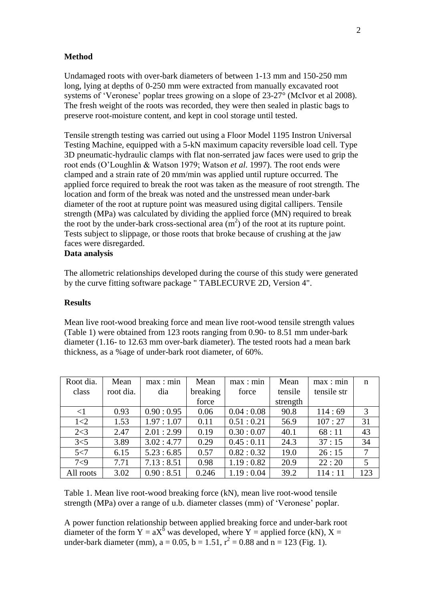## **Method**

Undamaged roots with over-bark diameters of between 1-13 mm and 150-250 mm long, lying at depths of 0-250 mm were extracted from manually excavated root systems of "Veronese" poplar trees growing on a slope of 23-27° (McIvor et al 2008). The fresh weight of the roots was recorded, they were then sealed in plastic bags to preserve root-moisture content, and kept in cool storage until tested.

Tensile strength testing was carried out using a Floor Model 1195 Instron Universal Testing Machine, equipped with a 5-kN maximum capacity reversible load cell. Type 3D pneumatic-hydraulic clamps with flat non-serrated jaw faces were used to grip the root ends (O"Loughlin & Watson 1979; Watson *et al*. 1997). The root ends were clamped and a strain rate of 20 mm/min was applied until rupture occurred. The applied force required to break the root was taken as the measure of root strength. The location and form of the break was noted and the unstressed mean under-bark diameter of the root at rupture point was measured using digital callipers. Tensile strength (MPa) was calculated by dividing the applied force (MN) required to break the root by the under-bark cross-sectional area  $(m<sup>2</sup>)$  of the root at its rupture point. Tests subject to slippage, or those roots that broke because of crushing at the jaw faces were disregarded.

# **Data analysis**

The allometric relationships developed during the course of this study were generated by the curve fitting software package " TABLECURVE 2D, Version 4".

#### **Results**

Mean live root-wood breaking force and mean live root-wood tensile strength values (Table 1) were obtained from 123 roots ranging from 0.90- to 8.51 mm under-bark diameter (1.16- to 12.63 mm over-bark diameter). The tested roots had a mean bark thickness, as a %age of under-bark root diameter, of 60%.

| Root dia. | Mean      | max: min  | Mean     | max: min  | Mean     | max: min    | n   |
|-----------|-----------|-----------|----------|-----------|----------|-------------|-----|
| class     | root dia. | dia       | breaking | force     | tensile  | tensile str |     |
|           |           |           | force    |           | strength |             |     |
| $\leq$ 1  | 0.93      | 0.90:0.95 | 0.06     | 0.04:0.08 | 90.8     | 114:69      | 3   |
| 1 < 2     | 1.53      | 1.97:1.07 | 0.11     | 0.51:0.21 | 56.9     | 107:27      | 31  |
| 2 < 3     | 2.47      | 2.01:2.99 | 0.19     | 0.30:0.07 | 40.1     | 68:11       | 43  |
| 3<5       | 3.89      | 3.02:4.77 | 0.29     | 0.45:0.11 | 24.3     | 37:15       | 34  |
| 5 < 7     | 6.15      | 5.23:6.85 | 0.57     | 0.82:0.32 | 19.0     | 26:15       | 7   |
| 7<9       | 7.71      | 7.13:8.51 | 0.98     | 1.19:0.82 | 20.9     | 22:20       | 5   |
| All roots | 3.02      | 0.90:8.51 | 0.246    | 1.19:0.04 | 39.2     | 114:11      | 123 |

Table 1. Mean live root-wood breaking force (kN), mean live root-wood tensile strength (MPa) over a range of u.b. diameter classes (mm) of "Veronese" poplar.

A power function relationship between applied breaking force and under-bark root diameter of the form  $Y = aX^6$  was developed, where Y = applied force (kN), X = under-bark diameter (mm),  $a = 0.05$ ,  $b = 1.51$ ,  $r^2 = 0.88$  and  $n = 123$  (Fig. 1).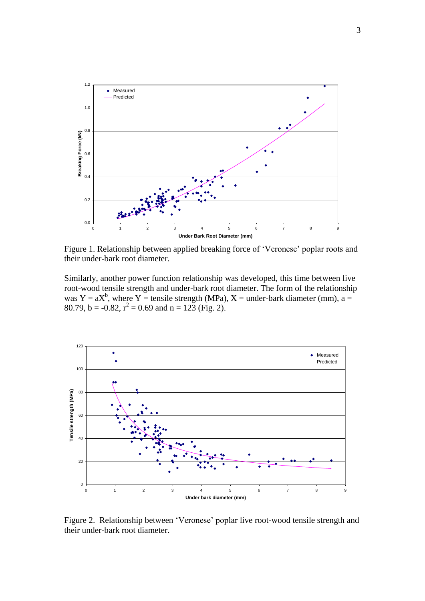

Figure 1. Relationship between applied breaking force of 'Veronese' poplar roots and their under-bark root diameter.

Similarly, another power function relationship was developed, this time between live root-wood tensile strength and under-bark root diameter. The form of the relationship was Y =  $aX^b$ , where Y = tensile strength (MPa), X = under-bark diameter (mm), a = 80.79, b = -0.82,  $r^2 = 0.69$  and n = 123 (Fig. 2).



Figure 2. Relationship between "Veronese" poplar live root-wood tensile strength and their under-bark root diameter.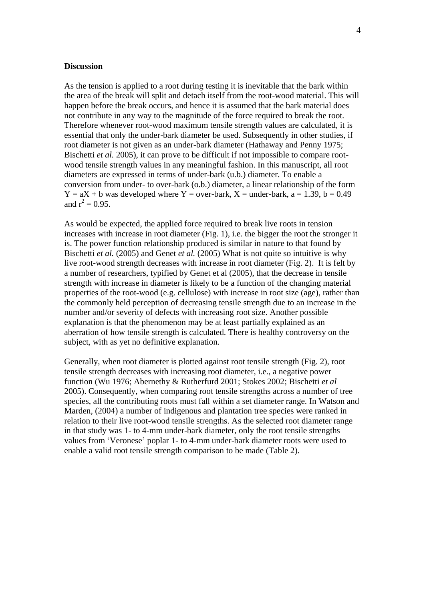#### **Discussion**

As the tension is applied to a root during testing it is inevitable that the bark within the area of the break will split and detach itself from the root-wood material. This will happen before the break occurs, and hence it is assumed that the bark material does not contribute in any way to the magnitude of the force required to break the root. Therefore whenever root-wood maximum tensile strength values are calculated, it is essential that only the under-bark diameter be used. Subsequently in other studies, if root diameter is not given as an under-bark diameter (Hathaway and Penny 1975; Bischetti *et al.* 2005), it can prove to be difficult if not impossible to compare rootwood tensile strength values in any meaningful fashion. In this manuscript, all root diameters are expressed in terms of under-bark (u.b.) diameter. To enable a conversion from under- to over-bark (o.b.) diameter, a linear relationship of the form  $Y = aX + b$  was developed where  $Y = over-bark$ ,  $X = under-bark$ ,  $a = 1.39$ ,  $b = 0.49$ and  $r^2 = 0.95$ .

As would be expected, the applied force required to break live roots in tension increases with increase in root diameter (Fig. 1), i.e. the bigger the root the stronger it is. The power function relationship produced is similar in nature to that found by Bischetti *et al.* (2005) and Genet *et al.* (2005) What is not quite so intuitive is why live root-wood strength decreases with increase in root diameter (Fig. 2). It is felt by a number of researchers, typified by Genet et al (2005), that the decrease in tensile strength with increase in diameter is likely to be a function of the changing material properties of the root-wood (e.g. cellulose) with increase in root size (age), rather than the commonly held perception of decreasing tensile strength due to an increase in the number and/or severity of defects with increasing root size. Another possible explanation is that the phenomenon may be at least partially explained as an aberration of how tensile strength is calculated. There is healthy controversy on the subject, with as yet no definitive explanation.

Generally, when root diameter is plotted against root tensile strength (Fig. 2), root tensile strength decreases with increasing root diameter, i.e., a negative power function (Wu 1976; Abernethy & Rutherfurd 2001; Stokes 2002; Bischetti *et al* 2005). Consequently, when comparing root tensile strengths across a number of tree species, all the contributing roots must fall within a set diameter range. In Watson and Marden, (2004) a number of indigenous and plantation tree species were ranked in relation to their live root-wood tensile strengths. As the selected root diameter range in that study was 1- to 4-mm under-bark diameter, only the root tensile strengths values from "Veronese" poplar 1- to 4-mm under-bark diameter roots were used to enable a valid root tensile strength comparison to be made (Table 2).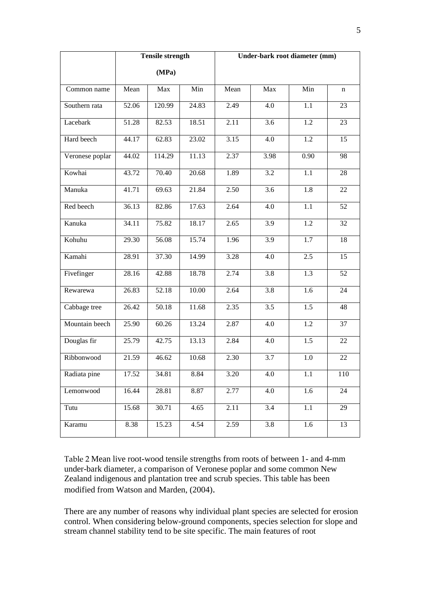|                 |       | <b>Tensile strength</b> |       | Under-bark root diameter (mm) |      |                  |     |
|-----------------|-------|-------------------------|-------|-------------------------------|------|------------------|-----|
|                 |       | (MPa)                   |       |                               |      |                  |     |
| Common name     | Mean  | Max                     | Min   | Mean                          | Max  | Min              | n   |
| Southern rata   | 52.06 | 120.99                  | 24.83 | 2.49                          | 4.0  | 1.1              | 23  |
| Lacebark        | 51.28 | 82.53                   | 18.51 | 2.11                          | 3.6  | 1.2              | 23  |
| Hard beech      | 44.17 | 62.83                   | 23.02 | 3.15                          | 4.0  | 1.2              | 15  |
| Veronese poplar | 44.02 | 114.29                  | 11.13 | 2.37                          | 3.98 | 0.90             | 98  |
| Kowhai          | 43.72 | 70.40                   | 20.68 | 1.89                          | 3.2  | 1.1              | 28  |
| Manuka          | 41.71 | 69.63                   | 21.84 | 2.50                          | 3.6  | 1.8              | 22  |
| Red beech       | 36.13 | 82.86                   | 17.63 | 2.64                          | 4.0  | 1.1              | 52  |
| Kanuka          | 34.11 | 75.82                   | 18.17 | 2.65                          | 3.9  | 1.2              | 32  |
| Kohuhu          | 29.30 | 56.08                   | 15.74 | 1.96                          | 3.9  | 1.7              | 18  |
| Kamahi          | 28.91 | 37.30                   | 14.99 | 3.28                          | 4.0  | 2.5              | 15  |
| Fivefinger      | 28.16 | 42.88                   | 18.78 | 2.74                          | 3.8  | 1.3              | 52  |
| Rewarewa        | 26.83 | 52.18                   | 10.00 | 2.64                          | 3.8  | 1.6              | 24  |
| Cabbage tree    | 26.42 | 50.18                   | 11.68 | 2.35                          | 3.5  | 1.5              | 48  |
| Mountain beech  | 25.90 | 60.26                   | 13.24 | 2.87                          | 4.0  | 1.2              | 37  |
| Douglas fir     | 25.79 | 42.75                   | 13.13 | 2.84                          | 4.0  | $\overline{1.5}$ | 22  |
| Ribbonwood      | 21.59 | 46.62                   | 10.68 | 2.30                          | 3.7  | 1.0              | 22  |
| Radiata pine    | 17.52 | 34.81                   | 8.84  | 3.20                          | 4.0  | 1.1              | 110 |
| Lemonwood       | 16.44 | 28.81                   | 8.87  | 2.77                          | 4.0  | 1.6              | 24  |
| Tutu            | 15.68 | 30.71                   | 4.65  | 2.11                          | 3.4  | 1.1              | 29  |
| Karamu          | 8.38  | 15.23                   | 4.54  | 2.59                          | 3.8  | 1.6              | 13  |

Table 2 Mean live root-wood tensile strengths from roots of between 1- and 4-mm under-bark diameter, a comparison of Veronese poplar and some common New Zealand indigenous and plantation tree and scrub species. This table has been modified from Watson and Marden, (2004).

There are any number of reasons why individual plant species are selected for erosion control. When considering below-ground components, species selection for slope and stream channel stability tend to be site specific. The main features of root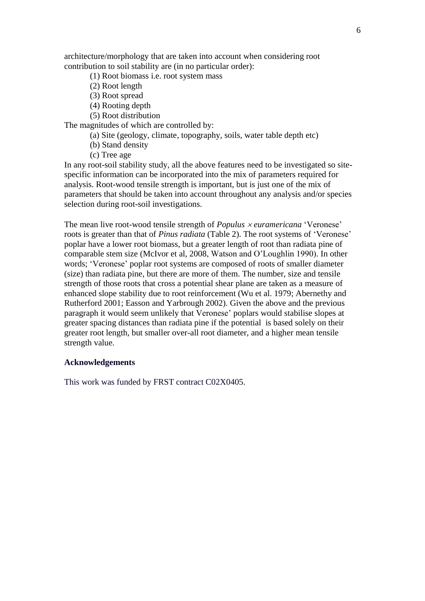architecture/morphology that are taken into account when considering root contribution to soil stability are (in no particular order):

- (1) Root biomass i.e. root system mass
- (2) Root length
- (3) Root spread
- (4) Rooting depth
- (5) Root distribution

The magnitudes of which are controlled by:

- (a) Site (geology, climate, topography, soils, water table depth etc)
- (b) Stand density
- (c) Tree age

In any root-soil stability study, all the above features need to be investigated so sitespecific information can be incorporated into the mix of parameters required for analysis. Root-wood tensile strength is important, but is just one of the mix of parameters that should be taken into account throughout any analysis and/or species selection during root-soil investigations.

The mean live root-wood tensile strength of *Populus euramericana* "Veronese" roots is greater than that of *Pinus radiata* (Table 2). The root systems of "Veronese" poplar have a lower root biomass, but a greater length of root than radiata pine of comparable stem size (McIvor et al, 2008, Watson and O"Loughlin 1990). In other words; "Veronese" poplar root systems are composed of roots of smaller diameter (size) than radiata pine, but there are more of them. The number, size and tensile strength of those roots that cross a potential shear plane are taken as a measure of enhanced slope stability due to root reinforcement (Wu et al. 1979; Abernethy and Rutherford 2001; Easson and Yarbrough 2002). Given the above and the previous paragraph it would seem unlikely that Veronese" poplars would stabilise slopes at greater spacing distances than radiata pine if the potential is based solely on their greater root length, but smaller over-all root diameter, and a higher mean tensile strength value.

## **Acknowledgements**

This work was funded by FRST contract C02X0405.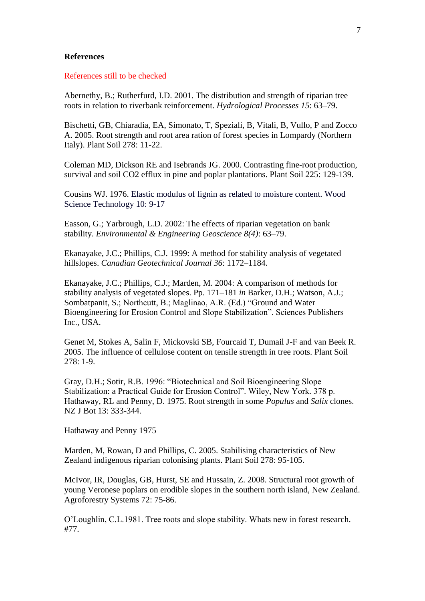## **References**

References still to be checked

Abernethy, B.; Rutherfurd, I.D. 2001. The distribution and strength of riparian tree roots in relation to riverbank reinforcement. *Hydrological Processes 15*: 63–79.

Bischetti, GB, Chiaradia, EA, Simonato, T, Speziali, B, Vitali, B, Vullo, P and Zocco A. 2005. Root strength and root area ration of forest species in Lompardy (Northern Italy). Plant Soil 278: 11-22.

Coleman MD, Dickson RE and Isebrands JG. 2000. Contrasting fine-root production, survival and soil CO2 efflux in pine and poplar plantations. Plant Soil 225: 129-139.

Cousins WJ. 1976. Elastic modulus of lignin as related to moisture content. Wood Science Technology 10: 9-17

Easson, G.; Yarbrough, L.D. 2002: The effects of riparian vegetation on bank stability. *Environmental & Engineering Geoscience 8(4)*: 63–79.

Ekanayake, J.C.; Phillips, C.J. 1999: A method for stability analysis of vegetated hillslopes. *Canadian Geotechnical Journal 36*: 1172–1184.

Ekanayake, J.C.; Phillips, C.J.; Marden, M. 2004: A comparison of methods for stability analysis of vegetated slopes. Pp. 171–181 *in* Barker, D.H.; Watson, A.J.; Sombatpanit, S.; Northcutt, B.; Maglinao, A.R. (Ed.) "Ground and Water Bioengineering for Erosion Control and Slope Stabilization". Sciences Publishers Inc., USA.

Genet M, Stokes A, Salin F, Mickovski SB, Fourcaid T, Dumail J-F and van Beek R. 2005. The influence of cellulose content on tensile strength in tree roots. Plant Soil 278: 1-9.

Gray, D.H.; Sotir, R.B. 1996: "Biotechnical and Soil Bioengineering Slope Stabilization: a Practical Guide for Erosion Control". Wiley, New York. 378 p. Hathaway, RL and Penny, D. 1975. Root strength in some *Populus* and *Salix* clones. NZ J Bot 13: 333-344.

Hathaway and Penny 1975

Marden, M, Rowan, D and Phillips, C. 2005. Stabilising characteristics of New Zealand indigenous riparian colonising plants. Plant Soil 278: 95-105.

McIvor, IR, Douglas, GB, Hurst, SE and Hussain, Z. 2008. Structural root growth of young Veronese poplars on erodible slopes in the southern north island, New Zealand. Agroforestry Systems 72: 75-86.

O"Loughlin, C.L.1981. Tree roots and slope stability. Whats new in forest research. #77.